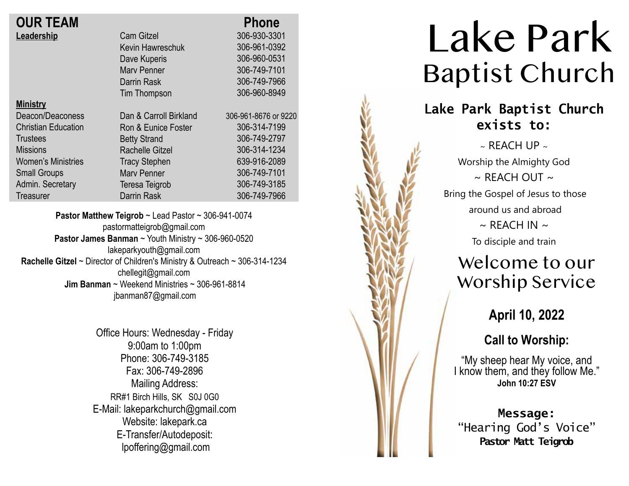| <b>OUR TEAM</b>            |                        | <b>Phone</b>         |
|----------------------------|------------------------|----------------------|
| Leadership                 | <b>Cam Gitzel</b>      | 306-930-3301         |
|                            | Kevin Hawreschuk       | 306-961-0392         |
|                            | Dave Kuperis           | 306-960-0531         |
|                            | <b>Mary Penner</b>     | 306-749-7101         |
|                            | Darrin Rask            | 306-749-7966         |
|                            | Tim Thompson           | 306-960-8949         |
| <b>Ministry</b>            |                        |                      |
| Deacon/Deaconess           | Dan & Carroll Birkland | 306-961-8676 or 9220 |
| <b>Christian Education</b> | Ron & Eunice Foster    | 306-314-7199         |
| <b>Trustees</b>            | <b>Betty Strand</b>    | 306-749-2797         |
| <b>Missions</b>            | <b>Rachelle Gitzel</b> | 306-314-1234         |
| <b>Women's Ministries</b>  | <b>Tracy Stephen</b>   | 639-916-2089         |
| <b>Small Groups</b>        | <b>Mary Penner</b>     | 306-749-7101         |
| Admin. Secretary           | Teresa Teigrob         | 306-749-3185         |
| <b>Treasurer</b>           | <b>Darrin Rask</b>     | 306-749-7966         |

**Pastor Matthew Teigrob** ~ Lead Pastor ~ 306-941-0074 pastormatteigrob@gmail.com **Pastor James Banman** ~ Youth Ministry ~ 306-960-0520 lakeparkyouth@gmail.com **Rachelle Gitzel** ~ Director of Children's Ministry & Outreach ~ 306-314-1234 chellegit@gmail.com  **Jim Banman** ~ Weekend Ministries ~ 306-961-8814 jbanman87@gmail.com

> Office Hours: Wednesday - Friday 9:00am to 1:00pm Phone: 306-749-3185 Fax: 306-749-2896 Mailing Address: RR#1 Birch Hills, SK S0J 0G0 E-Mail: lakeparkchurch@gmail.com Website: lakepark.ca E-Transfer/Autodeposit: lpoffering@gmail.com